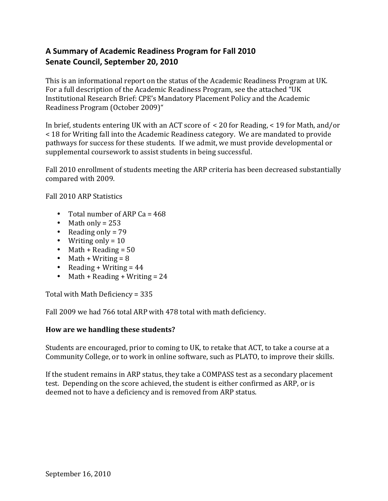# A Summary of Academic Readiness Program for Fall 2010 **Senate Council, September 20, 2010**

This is an informational report on the status of the Academic Readiness Program at UK. For a full description of the Academic Readiness Program, see the attached "UK Institutional Research Brief: CPE's Mandatory Placement Policy and the Academic Readiness Program (October 2009)"

In brief, students entering UK with an ACT score of  $\leq$  20 for Reading,  $\leq$  19 for Math, and/or < 18 for Writing fall into the Academic Readiness category. We are mandated to provide pathways for success for these students. If we admit, we must provide developmental or supplemental coursework to assist students in being successful.

Fall 2010 enrollment of students meeting the ARP criteria has been decreased substantially compared with 2009.

Fall 2010 ARP Statistics

- Total number of ARP Ca =  $468$
- Math only =  $253$
- Reading only =  $79$
- Writing only =  $10$
- Math + Reading =  $50$
- Math + Writing =  $8$
- Reading + Writing =  $44$
- Math + Reading + Writing =  $24$

Total with Math Deficiency =  $335$ 

Fall 2009 we had 766 total ARP with 478 total with math deficiency.

### How are we handling these students?

Students are encouraged, prior to coming to UK, to retake that ACT, to take a course at a Community College, or to work in online software, such as PLATO, to improve their skills.

If the student remains in ARP status, they take a COMPASS test as a secondary placement test. Depending on the score achieved, the student is either confirmed as ARP, or is deemed not to have a deficiency and is removed from ARP status.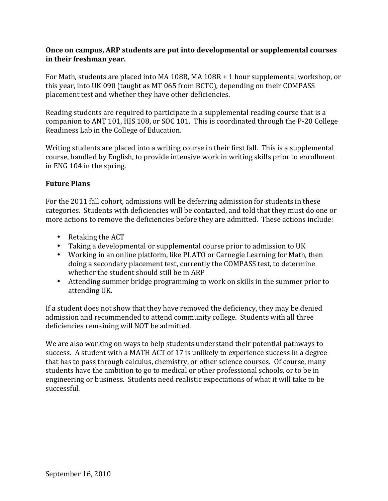### **Once on campus, ARP students are put into developmental or supplemental courses** in their freshman year.

For Math, students are placed into MA 108R, MA  $108R + 1$  hour supplemental workshop, or this year, into UK 090 (taught as MT 065 from BCTC), depending on their COMPASS placement test and whether they have other deficiencies.

Reading students are required to participate in a supplemental reading course that is a companion to ANT 101, HIS 108, or SOC 101. This is coordinated through the P-20 College Readiness Lab in the College of Education.

Writing students are placed into a writing course in their first fall. This is a supplemental course, handled by English, to provide intensive work in writing skills prior to enrollment in ENG 104 in the spring.

## **Future\$Plans**

For the 2011 fall cohort, admissions will be deferring admission for students in these categories. Students with deficiencies will be contacted, and told that they must do one or more actions to remove the deficiencies before they are admitted. These actions include:

- Retaking the  $ACT$
- Taking a developmental or supplemental course prior to admission to UK
- Working in an online platform, like PLATO or Carnegie Learning for Math, then doing a secondary placement test, currently the COMPASS test, to determine whether the student should still be in ARP
- Attending summer bridge programming to work on skills in the summer prior to attending UK.

If a student does not show that they have removed the deficiency, they may be denied admission and recommended to attend community college. Students with all three deficiencies remaining will NOT be admitted.

We are also working on ways to help students understand their potential pathways to success. A student with a MATH ACT of 17 is unlikely to experience success in a degree that has to pass through calculus, chemistry, or other science courses. Of course, many students have the ambition to go to medical or other professional schools, or to be in engineering or business. Students need realistic expectations of what it will take to be successful.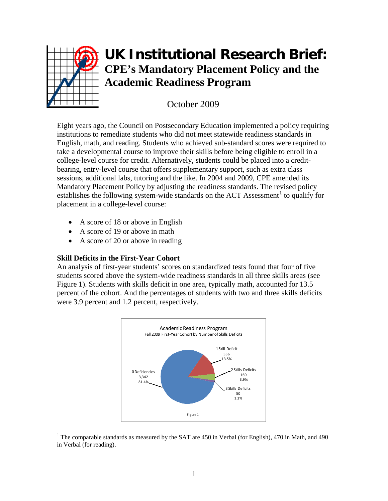

# **UK Institutional Research Brief: CPE's Mandatory Placement Policy and the Academic Readiness Program**

October 2009

Eight years ago, the Council on Postsecondary Education implemented a policy requiring institutions to remediate students who did not meet statewide readiness standards in English, math, and reading. Students who achieved sub-standard scores were required to take a developmental course to improve their skills before being eligible to enroll in a college-level course for credit. Alternatively, students could be placed into a creditbearing, entry-level course that offers supplementary support, such as extra class sessions, additional labs, tutoring and the like. In 2004 and 2009, CPE amended its Mandatory Placement Policy by adjusting the readiness standards. The revised policy establishes the following system-wide standards on the ACT Assessment<sup>[1](#page-2-0)</sup> to qualify for placement in a college-level course:

- A score of 18 or above in English
- A score of 19 or above in math
- A score of 20 or above in reading

### **Skill Deficits in the First-Year Cohort**

An analysis of first-year students' scores on standardized tests found that four of five students scored above the system-wide readiness standards in all three skills areas (see Figure 1). Students with skills deficit in one area, typically math, accounted for 13.5 percent of the cohort. And the percentages of students with two and three skills deficits were 3.9 percent and 1.2 percent, respectively.



<span id="page-2-0"></span><sup>&</sup>lt;sup>1</sup> The comparable standards as measured by the SAT are 450 in Verbal (for English), 470 in Math, and 490 in Verbal (for reading).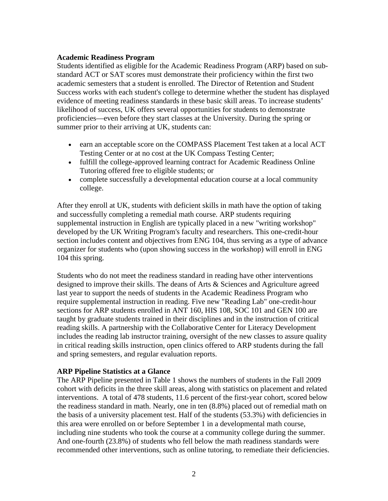#### **Academic Readiness Program**

Students identified as eligible for the Academic Readiness Program (ARP) based on substandard ACT or SAT scores must demonstrate their proficiency within the first two academic semesters that a student is enrolled. The Director of Retention and Student Success works with each student's college to determine whether the student has displayed evidence of meeting readiness standards in these basic skill areas. To increase students' likelihood of success, UK offers several opportunities for students to demonstrate proficiencies—even before they start classes at the University. During the spring or summer prior to their arriving at UK, students can:

- earn an acceptable score on the COMPASS Placement Test taken at a local ACT Testing Center or at no cost at the UK Compass Testing Center;
- fulfill the college-approved learning contract for Academic Readiness Online Tutoring offered free to eligible students; or
- complete successfully a developmental education course at a local community college.

After they enroll at UK, students with deficient skills in math have the option of taking and successfully completing a remedial math course. ARP students requiring supplemental instruction in English are typically placed in a new "writing workshop" developed by the UK Writing Program's faculty and researchers. This one-credit-hour section includes content and objectives from ENG 104, thus serving as a type of advance organizer for students who (upon showing success in the workshop) will enroll in ENG 104 this spring.

Students who do not meet the readiness standard in reading have other interventions designed to improve their skills. The deans of Arts & Sciences and Agriculture agreed last year to support the needs of students in the Academic Readiness Program who require supplemental instruction in reading. Five new "Reading Lab" one-credit-hour sections for ARP students enrolled in ANT 160, HIS 108, SOC 101 and GEN 100 are taught by graduate students trained in their disciplines and in the instruction of critical reading skills. A partnership with the Collaborative Center for Literacy Development includes the reading lab instructor training, oversight of the new classes to assure quality in critical reading skills instruction, open clinics offered to ARP students during the fall and spring semesters, and regular evaluation reports.

### **ARP Pipeline Statistics at a Glance**

The ARP Pipeline presented in Table 1 shows the numbers of students in the Fall 2009 cohort with deficits in the three skill areas, along with statistics on placement and related interventions. A total of 478 students, 11.6 percent of the first-year cohort, scored below the readiness standard in math. Nearly, one in ten (8.8%) placed out of remedial math on the basis of a university placement test. Half of the students (53.3%) with deficiencies in this area were enrolled on or before September 1 in a developmental math course, including nine students who took the course at a community college during the summer. And one-fourth (23.8%) of students who fell below the math readiness standards were recommended other interventions, such as online tutoring, to remediate their deficiencies.